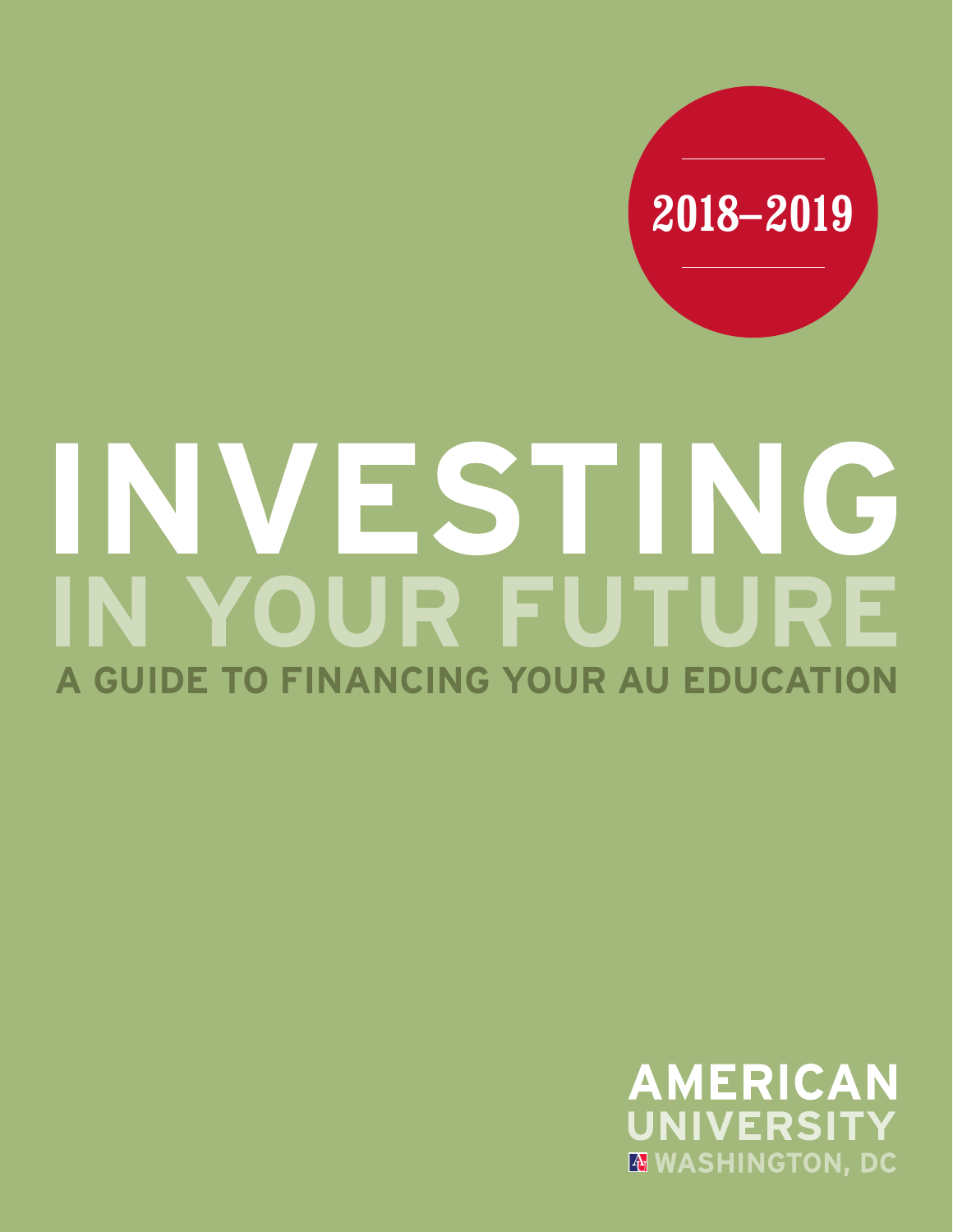

# INVESTING IN YOUR FUTURE **A GUIDE TO FINANCING YOUR AU EDUCATION**

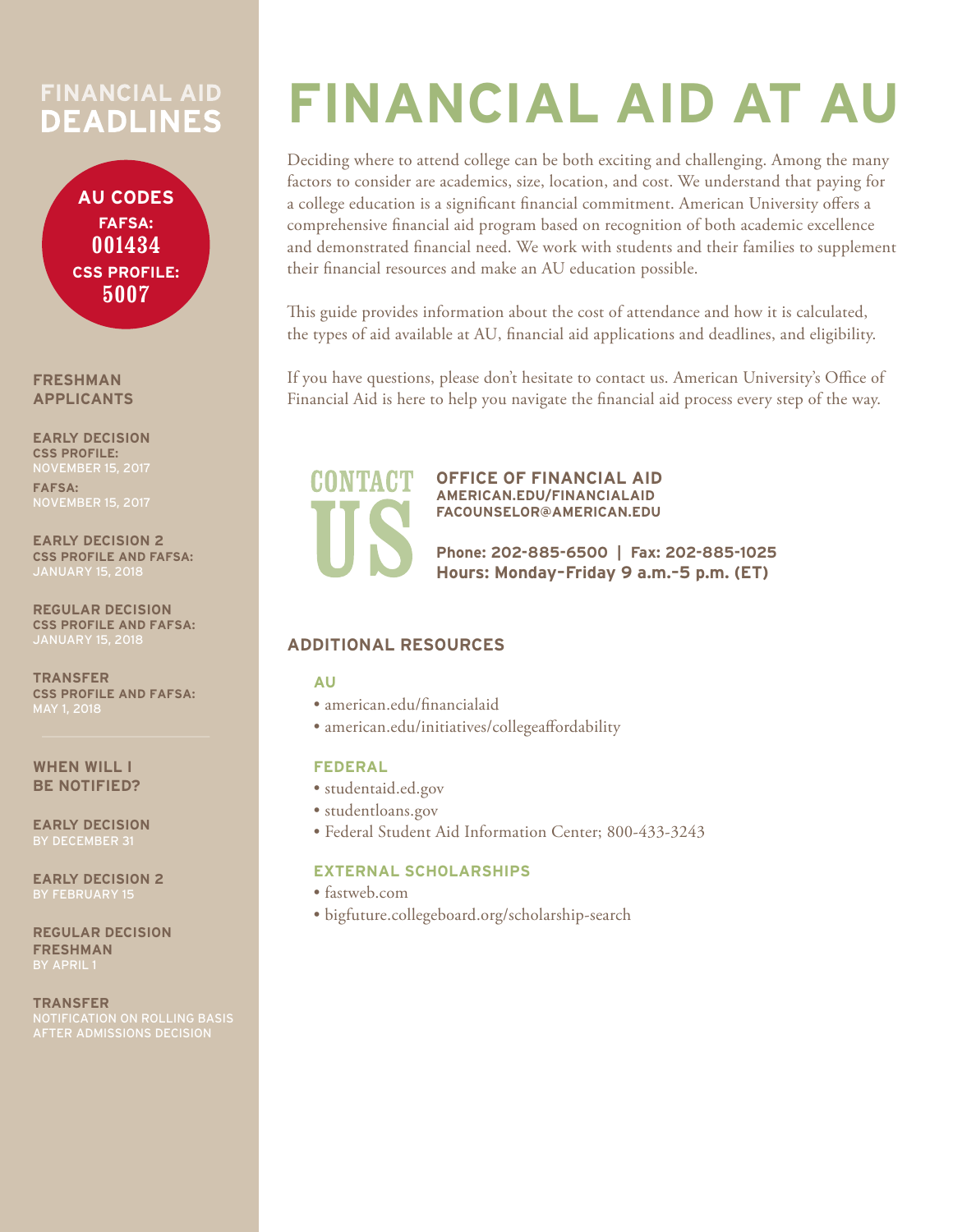## **FINANCIAL AID DEADLINES**

**AU CODES FAFSA: 001434 CSS PROFILE: 5007**

**FRESHMAN APPLICANTS**

**EARLY DECISION CSS PROFILE: FAFSA:** 

**EARLY DECISION 2 CSS PROFILE AND FAFSA:** 

**REGULAR DECISION CSS PROFILE AND FAFSA:**  JANUARY 15, 2018

**TRANSFER CSS PROFILE AND FAFSA:** 

**WHEN WILL I BE NOTIFIED?** 

**EARLY DECISION**

**EARLY DECISION 2**  BY FEBRUARY 15

**REGULAR DECISION FRESHMAN**

**TRANSFER**

# **FINANCIAL AID AT AU**

Deciding where to attend college can be both exciting and challenging. Among the many factors to consider are academics, size, location, and cost. We understand that paying for a college education is a significant financial commitment. American University offers a comprehensive financial aid program based on recognition of both academic excellence and demonstrated financial need. We work with students and their families to supplement their financial resources and make an AU education possible.

This guide provides information about the cost of attendance and how it is calculated, the types of aid available at AU, financial aid applications and deadlines, and eligibility.

If you have questions, please don't hesitate to contact us. American University's Office of Financial Aid is here to help you navigate the financial aid process every step of the way.



**OFFICE OF FINANCIAL AID AMERICAN.EDU/FINANCIALAID FACOUNSELOR@AMERICAN.EDU**

**Phone: 202-885-6500 | Fax: 202-885-1025 Hours: Monday–Friday 9 a.m.–5 p.m. (ET)** 

#### **ADDITIONAL RESOURCES**

#### **AU**

- american.edu/financialaid
- american.edu/initiatives/collegeaffordability

#### **FEDERAL**

- studentaid.ed.gov
- studentloans.gov
- Federal Student Aid Information Center; 800-433-3243

#### **EXTERNAL SCHOLARSHIPS**

- fastweb.com
- bigfuture.collegeboard.org/scholarship-search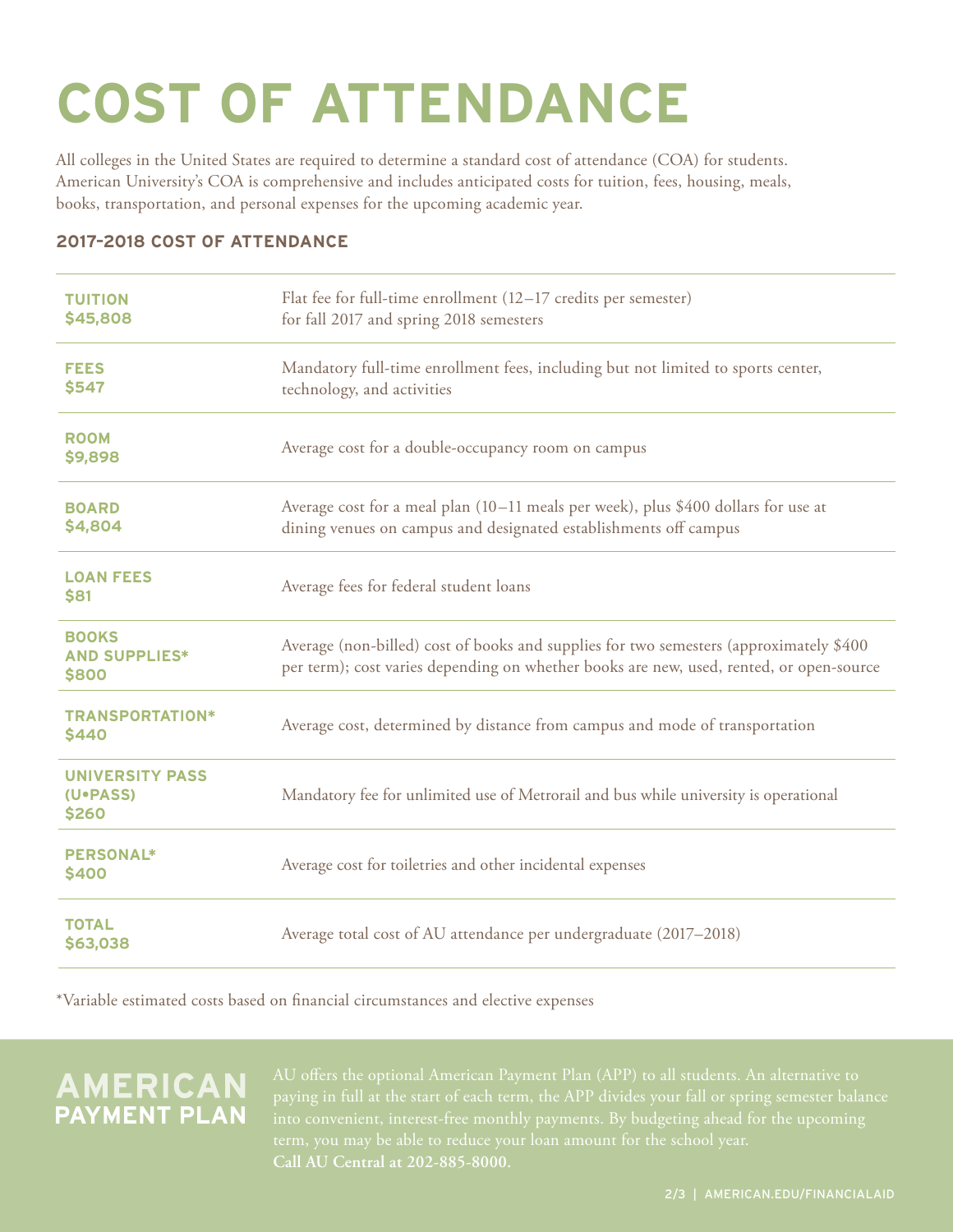# **COST OF ATTENDANCE**

All colleges in the United States are required to determine a standard cost of attendance (COA) for students. American University's COA is comprehensive and includes anticipated costs for tuition, fees, housing, meals, books, transportation, and personal expenses for the upcoming academic year.

#### **2017–2018 COST OF ATTENDANCE**

| <b>TUITION</b><br>\$45,808                    | Flat fee for full-time enrollment (12-17 credits per semester)<br>for fall 2017 and spring 2018 semesters                                                                         |
|-----------------------------------------------|-----------------------------------------------------------------------------------------------------------------------------------------------------------------------------------|
| <b>FEES</b><br>\$547                          | Mandatory full-time enrollment fees, including but not limited to sports center,<br>technology, and activities                                                                    |
| <b>ROOM</b><br>\$9,898                        | Average cost for a double-occupancy room on campus                                                                                                                                |
| <b>BOARD</b><br>\$4,804                       | Average cost for a meal plan (10–11 meals per week), plus \$400 dollars for use at<br>dining venues on campus and designated establishments off campus                            |
| <b>LOAN FEES</b><br>\$81                      | Average fees for federal student loans                                                                                                                                            |
| <b>BOOKS</b><br><b>AND SUPPLIES*</b><br>\$800 | Average (non-billed) cost of books and supplies for two semesters (approximately \$400<br>per term); cost varies depending on whether books are new, used, rented, or open-source |
| <b>TRANSPORTATION*</b><br><b>\$440</b>        | Average cost, determined by distance from campus and mode of transportation                                                                                                       |
| <b>UNIVERSITY PASS</b><br>(U.PASS)<br>\$260   | Mandatory fee for unlimited use of Metrorail and bus while university is operational                                                                                              |
| <b>PERSONAL*</b><br>\$400                     | Average cost for toiletries and other incidental expenses                                                                                                                         |
| <b>TOTAL</b><br>\$63,038                      | Average total cost of AU attendance per undergraduate (2017–2018)                                                                                                                 |

\*Variable estimated costs based on financial circumstances and elective expenses

## **AMERICAN**<br>PAYMENT PLAN

**Call AU Central at 202-885-8000.**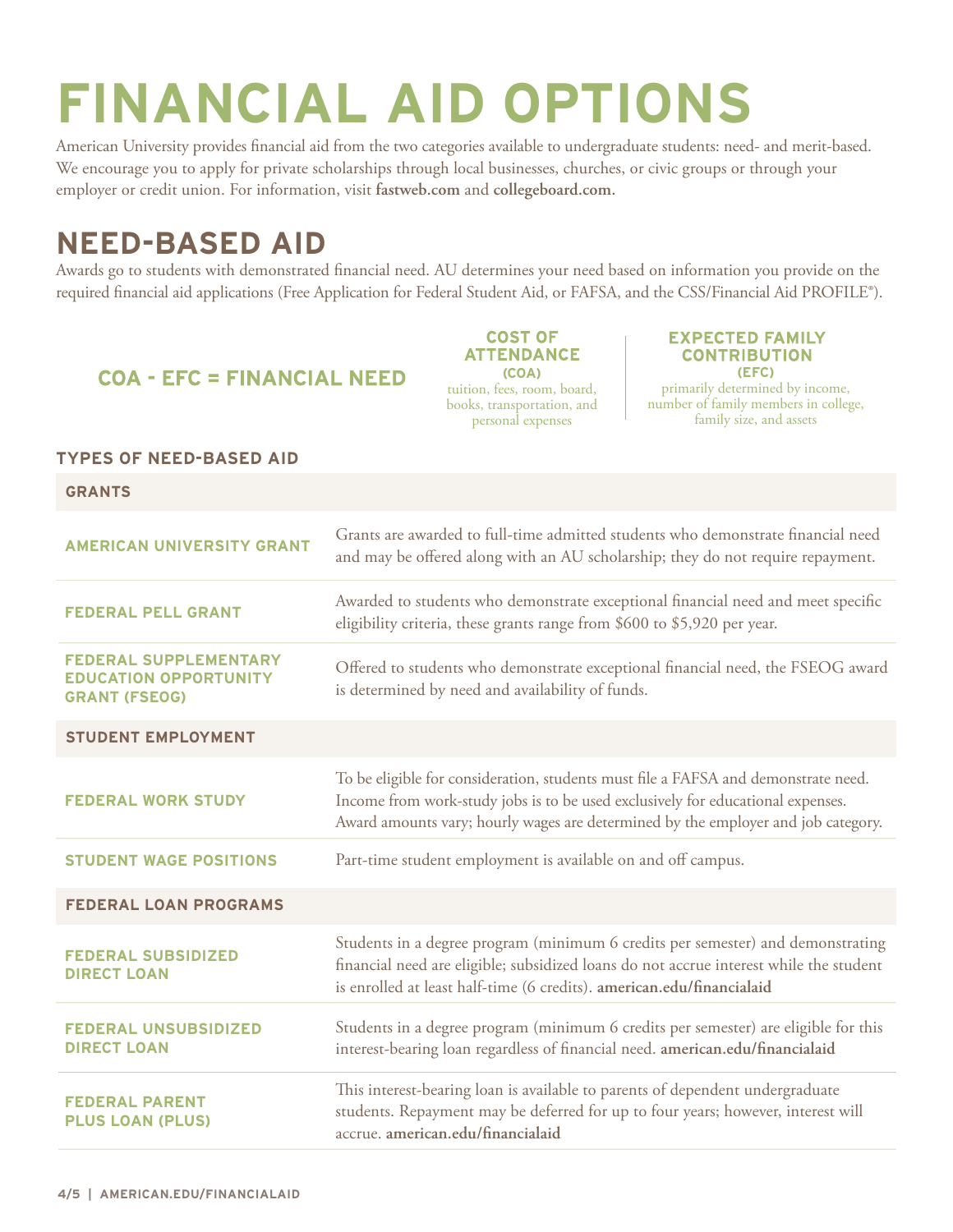# **FINANCIAL AID OPTIONS**

American University provides financial aid from the two categories available to undergraduate students: need- and merit-based. We encourage you to apply for private scholarships through local businesses, churches, or civic groups or through your employer or credit union. For information, visit **fastweb.com** and **collegeboard.com.**

## **NEED-BASED AID**

Awards go to students with demonstrated financial need. AU determines your need based on information you provide on the required financial aid applications (Free Application for Federal Student Aid, or FAFSA, and the CSS/Financial Aid PROFILE®).

#### **COA - EFC = FINANCIAL NEED**

**COST OF ATTENDANCE (COA)** tuition, fees, room, board, books, transportation, and personal expenses

#### **EXPECTED FAMILY CONTRIBUTION**

**(EFC)** primarily determined by income, number of family members in college, family size, and assets

#### **TYPES OF NEED-BASED AID**

| <b>GRANTS</b>                                                                        |                                                                                                                                                                                                                                                            |  |
|--------------------------------------------------------------------------------------|------------------------------------------------------------------------------------------------------------------------------------------------------------------------------------------------------------------------------------------------------------|--|
| <b>AMERICAN UNIVERSITY GRANT</b>                                                     | Grants are awarded to full-time admitted students who demonstrate financial need<br>and may be offered along with an AU scholarship; they do not require repayment.                                                                                        |  |
| <b>FEDERAL PELL GRANT</b>                                                            | Awarded to students who demonstrate exceptional financial need and meet specific<br>eligibility criteria, these grants range from \$600 to \$5,920 per year.                                                                                               |  |
| <b>FEDERAL SUPPLEMENTARY</b><br><b>EDUCATION OPPORTUNITY</b><br><b>GRANT (FSEOG)</b> | Offered to students who demonstrate exceptional financial need, the FSEOG award<br>is determined by need and availability of funds.                                                                                                                        |  |
| <b>STUDENT EMPLOYMENT</b>                                                            |                                                                                                                                                                                                                                                            |  |
| <b>FEDERAL WORK STUDY</b>                                                            | To be eligible for consideration, students must file a FAFSA and demonstrate need.<br>Income from work-study jobs is to be used exclusively for educational expenses.<br>Award amounts vary; hourly wages are determined by the employer and job category. |  |
| <b>STUDENT WAGE POSITIONS</b>                                                        | Part-time student employment is available on and off campus.                                                                                                                                                                                               |  |
| <b>FEDERAL LOAN PROGRAMS</b>                                                         |                                                                                                                                                                                                                                                            |  |
| <b>FEDERAL SUBSIDIZED</b><br><b>DIRECT LOAN</b>                                      | Students in a degree program (minimum 6 credits per semester) and demonstrating<br>financial need are eligible; subsidized loans do not accrue interest while the student<br>is enrolled at least half-time (6 credits). american.edu/financialaid         |  |
| <b>FEDERAL UNSUBSIDIZED</b><br><b>DIRECT LOAN</b>                                    | Students in a degree program (minimum 6 credits per semester) are eligible for this<br>interest-bearing loan regardless of financial need. american.edu/financialaid                                                                                       |  |
| <b>FEDERAL PARENT</b><br><b>PLUS LOAN (PLUS)</b>                                     | This interest-bearing loan is available to parents of dependent undergraduate<br>students. Repayment may be deferred for up to four years; however, interest will<br>accrue. american.edu/financialaid                                                     |  |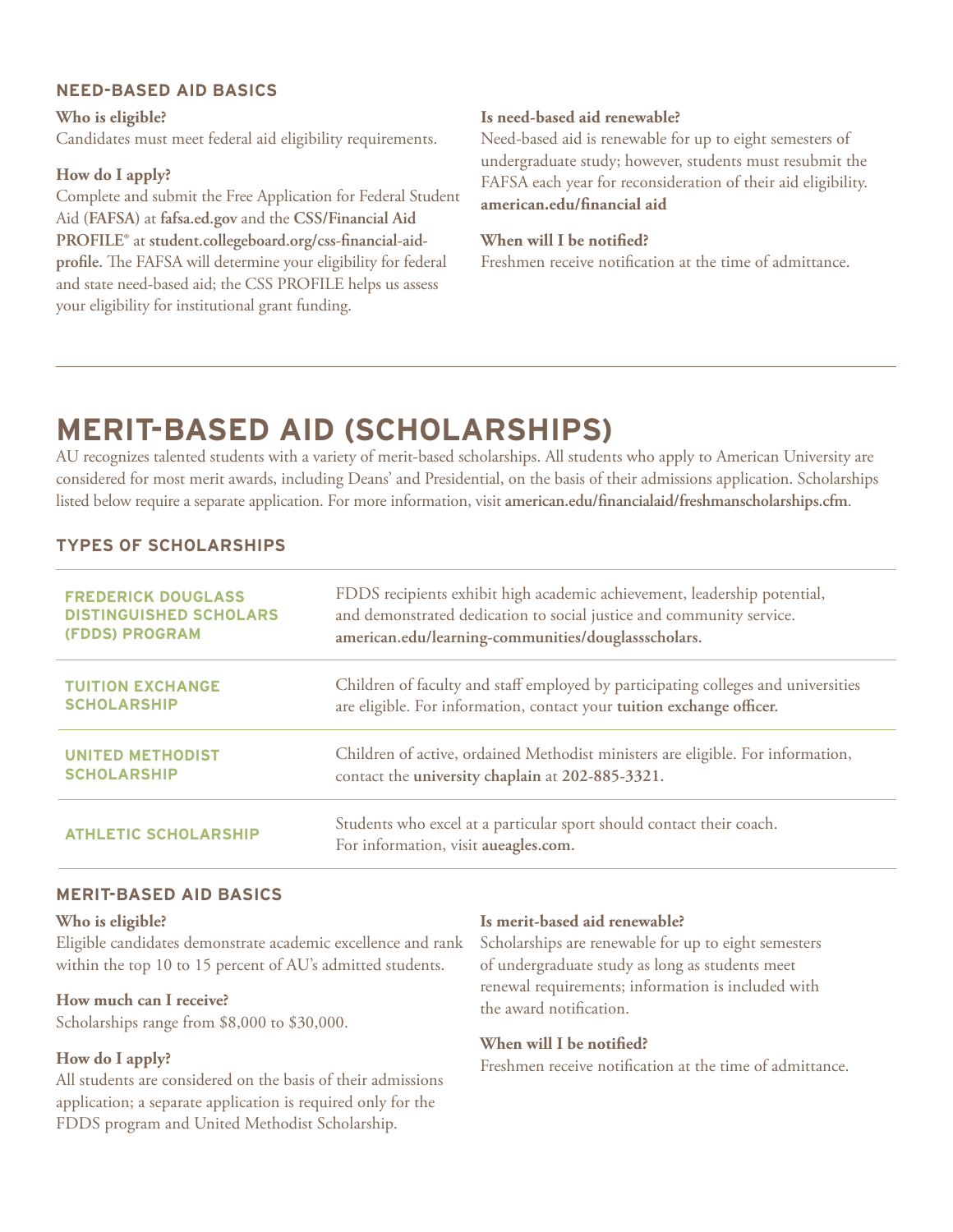#### **NEED-BASED AID BASICS**

**Who is eligible?** Candidates must meet federal aid eligibility requirements.

#### **How do I apply?**

Complete and submit the Free Application for Federal Student Aid **(FAFSA)** at **fafsa.ed.gov** and the **CSS/Financial Aid PROFILE®** at **student.collegeboard.org/css-financial-aidprofile.** The FAFSA will determine your eligibility for federal and state need-based aid; the CSS PROFILE helps us assess your eligibility for institutional grant funding.

#### **Is need-based aid renewable?**

Need-based aid is renewable for up to eight semesters of undergraduate study; however, students must resubmit the FAFSA each year for reconsideration of their aid eligibility. **american.edu/financial aid**

#### **When will I be notified?**

Freshmen receive notification at the time of admittance.

## **MERIT-BASED AID (SCHOLARSHIPS)**

AU recognizes talented students with a variety of merit-based scholarships. All students who apply to American University are considered for most merit awards, including Deans' and Presidential, on the basis of their admissions application. Scholarships listed below require a separate application. For more information, visit **american.edu/financialaid/freshmanscholarships.cfm**.

#### **TYPES OF SCHOLARSHIPS**

| <b>FREDERICK DOUGLASS</b>     | FDDS recipients exhibit high academic achievement, leadership potential,                                     |
|-------------------------------|--------------------------------------------------------------------------------------------------------------|
| <b>DISTINGUISHED SCHOLARS</b> | and demonstrated dedication to social justice and community service.                                         |
| <b>(FDDS) PROGRAM</b>         | american.edu/learning-communities/douglassscholars.                                                          |
| <b>TUITION EXCHANGE</b>       | Children of faculty and staff employed by participating colleges and universities                            |
| <b>SCHOLARSHIP</b>            | are eligible. For information, contact your tuition exchange officer.                                        |
| <b>UNITED METHODIST</b>       | Children of active, ordained Methodist ministers are eligible. For information,                              |
| <b>SCHOLARSHIP</b>            | contact the university chaplain at 202-885-3321.                                                             |
| <b>ATHLETIC SCHOLARSHIP</b>   | Students who excel at a particular sport should contact their coach.<br>For information, visit aueagles.com. |

#### **MERIT-BASED AID BASICS**

#### **Who is eligible?**

Eligible candidates demonstrate academic excellence and rank within the top 10 to 15 percent of AU's admitted students.

#### **How much can I receive?**

Scholarships range from \$8,000 to \$30,000.

#### **How do I apply?**

All students are considered on the basis of their admissions application; a separate application is required only for the FDDS program and United Methodist Scholarship.

#### **Is merit-based aid renewable?**

Scholarships are renewable for up to eight semesters of undergraduate study as long as students meet renewal requirements; information is included with the award notification.

#### **When will I be notified?**

Freshmen receive notification at the time of admittance.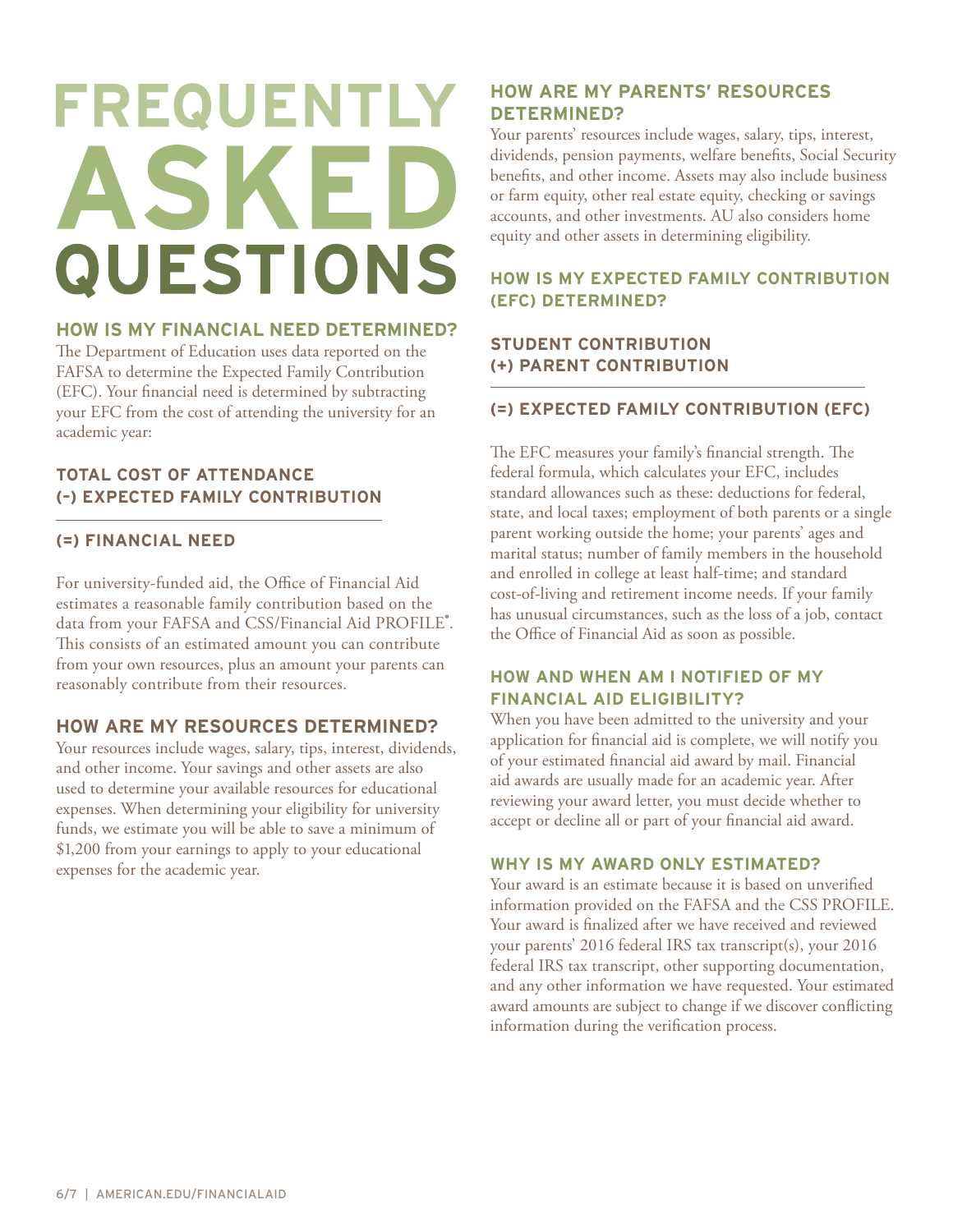# FREQUENTLY ASKED **QUESTIONS**

#### **HOW IS MY FINANCIAL NEED DETERMINED?**

The Department of Education uses data reported on the FAFSA to determine the Expected Family Contribution (EFC). Your financial need is determined by subtracting your EFC from the cost of attending the university for an academic year:

#### **TOTAL COST OF ATTENDANCE (–) EXPECTED FAMILY CONTRIBUTION**

#### **(=) FINANCIAL NEED**

For university-funded aid, the Office of Financial Aid estimates a reasonable family contribution based on the data from your FAFSA and CSS/Financial Aid PROFILE®. This consists of an estimated amount you can contribute from your own resources, plus an amount your parents can reasonably contribute from their resources.

#### **HOW ARE MY RESOURCES DETERMINED?**

Your resources include wages, salary, tips, interest, dividends, and other income. Your savings and other assets are also used to determine your available resources for educational expenses. When determining your eligibility for university funds, we estimate you will be able to save a minimum of \$1,200 from your earnings to apply to your educational expenses for the academic year.

#### **HOW ARE MY PARENTS' RESOURCES DETERMINED?**

Your parents' resources include wages, salary, tips, interest, dividends, pension payments, welfare benefits, Social Security benefits, and other income. Assets may also include business or farm equity, other real estate equity, checking or savings accounts, and other investments. AU also considers home equity and other assets in determining eligibility.

#### **HOW IS MY EXPECTED FAMILY CONTRIBUTION (EFC) DETERMINED?**

#### **STUDENT CONTRIBUTION (+) PARENT CONTRIBUTION**

#### **(=) EXPECTED FAMILY CONTRIBUTION (EFC)**

The EFC measures your family's financial strength. The federal formula, which calculates your EFC, includes standard allowances such as these: deductions for federal, state, and local taxes; employment of both parents or a single parent working outside the home; your parents' ages and marital status; number of family members in the household and enrolled in college at least half-time; and standard cost-of-living and retirement income needs. If your family has unusual circumstances, such as the loss of a job, contact the Office of Financial Aid as soon as possible.

#### **HOW AND WHEN AM I NOTIFIED OF MY FINANCIAL AID ELIGIBILITY?**

When you have been admitted to the university and your application for financial aid is complete, we will notify you of your estimated financial aid award by mail. Financial aid awards are usually made for an academic year. After reviewing your award letter, you must decide whether to accept or decline all or part of your financial aid award.

#### **WHY IS MY AWARD ONLY ESTIMATED?**

Your award is an estimate because it is based on unverified information provided on the FAFSA and the CSS PROFILE. Your award is finalized after we have received and reviewed your parents' 2016 federal IRS tax transcript(s), your 2016 federal IRS tax transcript, other supporting documentation, and any other information we have requested. Your estimated award amounts are subject to change if we discover conflicting information during the verification process.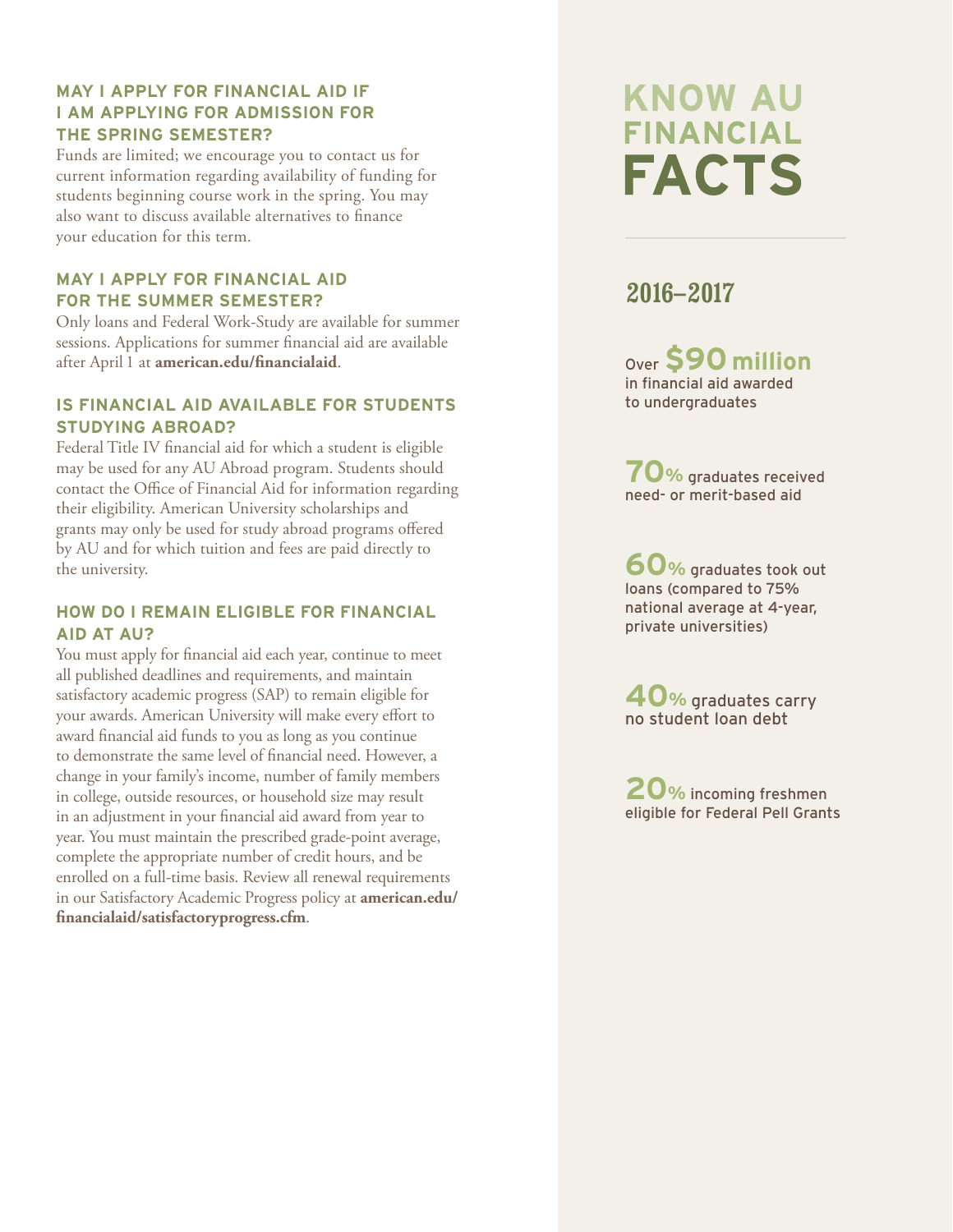#### **MAY I APPLY FOR FINANCIAL AID IF I AM APPLYING FOR ADMISSION FOR THE SPRING SEMESTER?**

Funds are limited; we encourage you to contact us for current information regarding availability of funding for students beginning course work in the spring. You may also want to discuss available alternatives to finance your education for this term.

#### **MAY I APPLY FOR FINANCIAL AID FOR THE SUMMER SEMESTER?**

Only loans and Federal Work-Study are available for summer sessions. Applications for summer financial aid are available after April 1 at **american.edu/financialaid** .

#### **IS FINANCIAL AID AVAILABLE FOR STUDENTS STUDYING ABROAD?**

Federal Title IV financial aid for which a student is eligible may be used for any AU Abroad program. Students should contact the Office of Financial Aid for information regarding their eligibility. American University scholarships and grants may only be used for study abroad programs offered by AU and for which tuition and fees are paid directly to the university.

#### **HOW DO I REMAIN ELIGIBLE FOR FINANCIAL AID AT AU?**

You must apply for financial aid each year, continue to meet all published deadlines and requirements, and maintain satisfactory academic progress (SAP) to remain eligible for your awards. American University will make every effort to award financial aid funds to you as long as you continue to demonstrate the same level of financial need. However, a change in your family's income, number of family members in college, outside resources, or household size may result in an adjustment in your financial aid award from year to year. You must maintain the prescribed grade-point average, complete the appropriate number of credit hours, and be enrolled on a full-time basis. Review all renewal requirements in our Satisfactory Academic Progress policy at **american.edu/ financialaid/satisfactoryprogress.cfm** .

## **KNOW AU FINANCIAL FACTS**

### **2016 –2017**

Over **\$90 million** in financial aid awarded to undergraduates

**70 %** graduates received need- or merit-based aid

**60 %** graduates took out loans (compared to 75% national average at 4-year, private universities)

**40 %** graduates carry no student loan debt

**20 %** incoming freshmen eligible for Federal Pell Grants